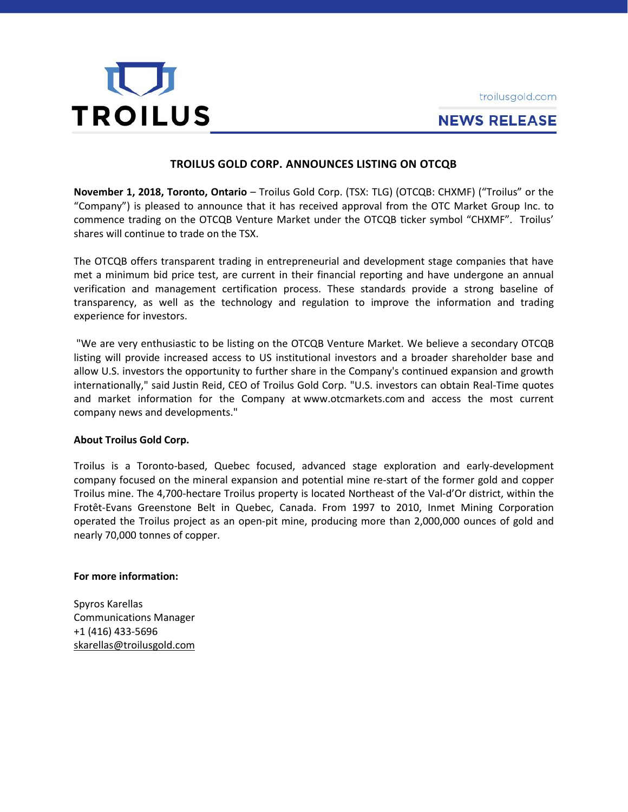



# **NEWS RELEASE**

## **TROILUS GOLD CORP. ANNOUNCES LISTING ON OTCQB**

**November 1, 2018, Toronto, Ontario** – Troilus Gold Corp. (TSX: TLG) (OTCQB: CHXMF) ("Troilus" or the "Company") is pleased to announce that it has received approval from the OTC Market Group Inc. to commence trading on the OTCQB Venture Market under the OTCQB ticker symbol "CHXMF". Troilus' shares will continue to trade on the TSX.

The OTCQB offers transparent trading in entrepreneurial and development stage companies that have met a minimum bid price test, are current in their financial reporting and have undergone an annual verification and management certification process. These standards provide a strong baseline of transparency, as well as the technology and regulation to improve the information and trading experience for investors.

"We are very enthusiastic to be listing on the OTCQB Venture Market. We believe a secondary OTCQB listing will provide increased access to US institutional investors and a broader shareholder base and allow U.S. investors the opportunity to further share in the Company's continued expansion and growth internationally," said Justin Reid, CEO of Troilus Gold Corp. "U.S. investors can obtain Real-Time quotes and market information for the Company at [www.otcmarkets.com](https://www.globenewswire.com/Tracker?data=NIOK8V-J1pmiUzOMkqiH5kQHrH7zvV2lxByC50nDW_gn8oaLieHoKxZgneuBImcUvvTuLMSSgrFvNC_kBKIW5JnbT1l9kb6BZe9MlePC368=) and access the most current company news and developments."

### **About Troilus Gold Corp.**

Troilus is a Toronto-based, Quebec focused, advanced stage exploration and early-development company focused on the mineral expansion and potential mine re-start of the former gold and copper Troilus mine. The 4,700-hectare Troilus property is located Northeast of the Val-d'Or district, within the Frotêt-Evans Greenstone Belt in Quebec, Canada. From 1997 to 2010, Inmet Mining Corporation operated the Troilus project as an open-pit mine, producing more than 2,000,000 ounces of gold and nearly 70,000 tonnes of copper.

### **For more information:**

Spyros Karellas Communications Manager +1 (416) 433-5696 [skarellas@troilusgold.com](mailto:skarellas@troilusgold.com)